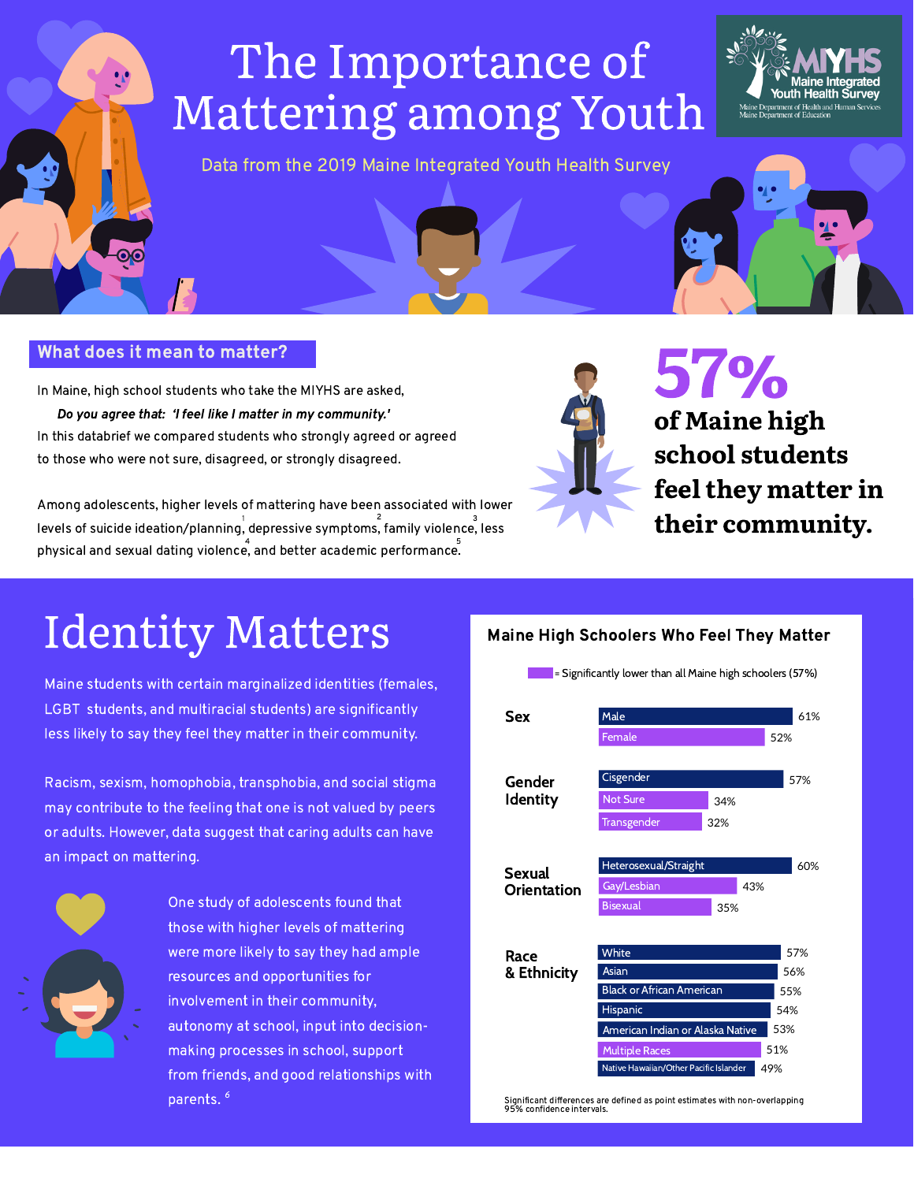## The Importance of Mattering among Youth



Maine Department of Education

Data from the 2019 Maine Integrated Youth Health Survey

57% of Maine high



Among adolescents, higher levels of mattering have been associated with lower levels of suicide ideation/planning, depressive symptoms, family violence, less physical and sexual dating violence, and better academic performance. 1 and 2 and 3 and 3 and 3 and 3 and 3 and 3 and 3 and 3 and 3 and 3 and 3 and 3 and 3 and 3 and 3 and 3 and 3  $4 \overline{5}$ 

In Maine, high school students who take the MIYHS are asked, Do you agree that: 'I feel like I matter in my community.' In this databrief we compared students who strongly agreed or agreed



to those who were not sure, disagreed, or strongly disagreed.

#### What does it mean to matter?

### Identity Matters



= Significantly lower than all Maine high schoolers (57%)







Maine students with certain marginalized identities (females, LGBT students, and multiracial students) are significantly less likely to say they feel they matter in their community.

| 57%<br><b>White</b><br>Race                   |  |
|-----------------------------------------------|--|
| <b>Asian</b><br>& Ethnicity<br>56%            |  |
| <b>Black or African American</b><br>55%       |  |
| <b>Hispanic</b><br>54%                        |  |
| 53%<br>American Indian or Alaska Native       |  |
| 51%<br><b>Multiple Races</b>                  |  |
| Native Hawaiian/Other Pacific Islander<br>49% |  |

One study of adolescents found that those with higher levels of mattering were more likely to say they had ample resources and opportunities for involvement in their community, autonomy at school, input into decisionmaking processes in school, support from friends, and good relationships with parents. 6

Racism, sexism, homophobia, transphobia, and social stigma may contribute to the feeling that one is not valued by peers or adults. However, data suggest that caring adults can have an impact on mattering.

> Significant differences are defined as point estimates with non-overlapping 95% confidence intervals.